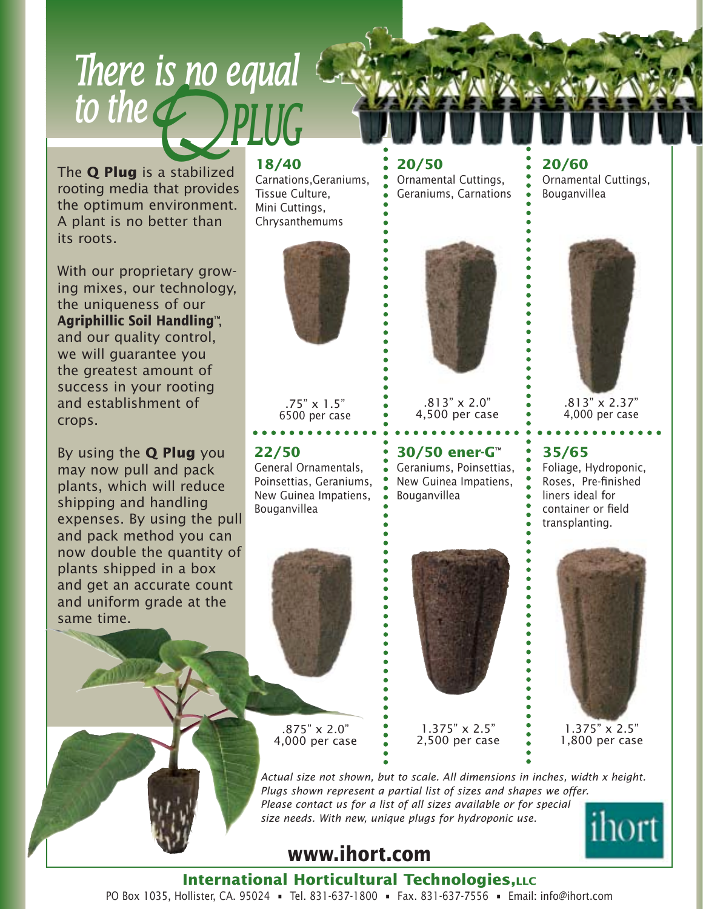*to the QPLUG*The **Q Plug** is a stabilized rooting media that provides the optimum environment. A plant is no better than its roots.

*There is no equal* 

With our proprietary growing mixes, our technology, the uniqueness of our **Agriphillic Soil Handling**™, and our quality control, we will guarantee you the greatest amount of success in your rooting and establishment of crops.

By using the **Q Plug** you may now pull and pack plants, which will reduce shipping and handling expenses. By using the pull and pack method you can now double the quantity of plants shipped in a box and get an accurate count and uniform grade at the same time.

#### **18/40**

Carnations,Geraniums, Tissue Culture, Mini Cuttings, Chrysanthemums



.75" x 1.5" 6500 per case

### **22/50**

General Ornamentals, Poinsettias, Geraniums, New Guinea Impatiens, Bouganvillea



4,000 per case

#### **20/50** Ornamental Cuttings, Geraniums, Carnations



.813" x 2.0" 4,500 per case

**30/50 ener-G**™ Geraniums, Poinsettias,

New Guinea Impatiens, Bouganvillea



1.375" x 2.5" 2,500 per case

**20/60** Ornamental Cuttings, Bouganvillea



.813" x 2.37" 4,000 per case

### **35/65**

Foliage, Hydroponic, Roses, Pre-finished liners ideal for container or field transplanting.



*Actual size not shown, but to scale. All dimensions in inches, width x height. Plugs shown represent a partial list of sizes and shapes we offer. Please contact us for a list of all sizes available or for special size needs. With new, unique plugs for hydroponic use.* ihort

## **www.ihort.com**

**International Horticultural Technologies, LLC** PO Box 1035, Hollister, CA. 95024 • Tel. 831-637-1800 • Fax. 831-637-7556 • Email: info@ihort.com